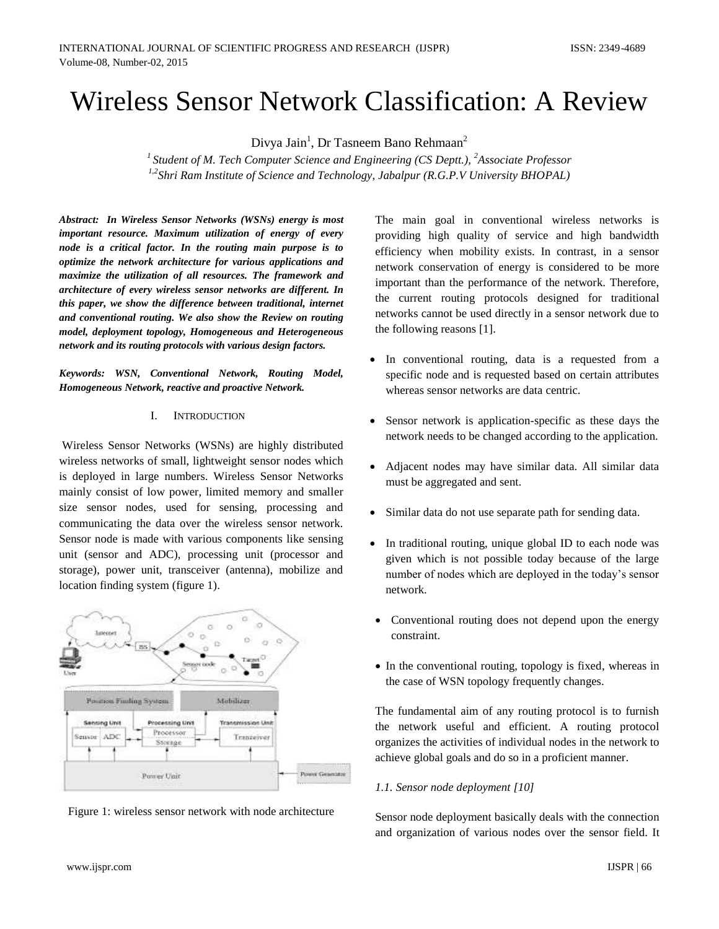# Wireless Sensor Network Classification: A Review

Divya Jain<sup>1</sup>, Dr Tasneem Bano Rehmaan<sup>2</sup>

*<sup>1</sup>Student of M. Tech Computer Science and Engineering (CS Deptt.), <sup>2</sup>Associate Professor 1,2Shri Ram Institute of Science and Technology, Jabalpur (R.G.P.V University BHOPAL)*

*Abstract: In Wireless Sensor Networks (WSNs) energy is most important resource. Maximum utilization of energy of every node is a critical factor. In the routing main purpose is to optimize the network architecture for various applications and maximize the utilization of all resources. The framework and architecture of every wireless sensor networks are different. In this paper, we show the difference between traditional, internet and conventional routing. We also show the Review on routing model, deployment topology, Homogeneous and Heterogeneous network and its routing protocols with various design factors.*

*Keywords: WSN, Conventional Network, Routing Model, Homogeneous Network, reactive and proactive Network.*

## I. INTRODUCTION

Wireless Sensor Networks (WSNs) are highly distributed wireless networks of small, lightweight sensor nodes which is deployed in large numbers. Wireless Sensor Networks mainly consist of low power, limited memory and smaller size sensor nodes, used for sensing, processing and communicating the data over the wireless sensor network. Sensor node is made with various components like sensing unit (sensor and ADC), processing unit (processor and storage), power unit, transceiver (antenna), mobilize and location finding system (figure 1).





The main goal in conventional wireless networks is providing high quality of service and high bandwidth efficiency when mobility exists. In contrast, in a sensor network conservation of energy is considered to be more important than the performance of the network. Therefore, the current routing protocols designed for traditional networks cannot be used directly in a sensor network due to the following reasons [1].

- In conventional routing, data is a requested from a specific node and is requested based on certain attributes whereas sensor networks are data centric.
- Sensor network is application-specific as these days the network needs to be changed according to the application.
- Adjacent nodes may have similar data. All similar data must be aggregated and sent.
- Similar data do not use separate path for sending data.
- In traditional routing, unique global ID to each node was given which is not possible today because of the large number of nodes which are deployed in the today's sensor network.
- Conventional routing does not depend upon the energy constraint.
- In the conventional routing, topology is fixed, whereas in the case of WSN topology frequently changes.

The fundamental aim of any routing protocol is to furnish the network useful and efficient. A routing protocol organizes the activities of individual nodes in the network to achieve global goals and do so in a proficient manner.

# *1.1. Sensor node deployment [10]*

Sensor node deployment basically deals with the connection and organization of various nodes over the sensor field. It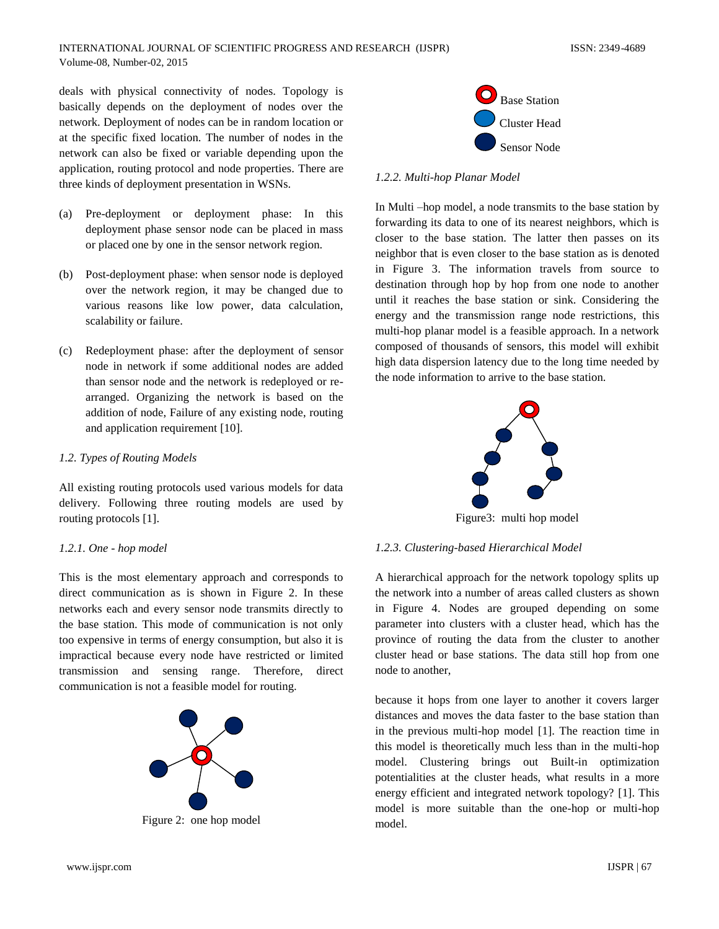deals with physical connectivity of nodes. Topology is basically depends on the deployment of nodes over the network. Deployment of nodes can be in random location or at the specific fixed location. The number of nodes in the network can also be fixed or variable depending upon the application, routing protocol and node properties. There are three kinds of deployment presentation in WSNs.

- (a) Pre-deployment or deployment phase: In this deployment phase sensor node can be placed in mass or placed one by one in the sensor network region.
- (b) Post-deployment phase: when sensor node is deployed over the network region, it may be changed due to various reasons like low power, data calculation, scalability or failure.
- (c) Redeployment phase: after the deployment of sensor node in network if some additional nodes are added than sensor node and the network is redeployed or rearranged. Organizing the network is based on the addition of node, Failure of any existing node, routing and application requirement [10].

# *1.2. Types of Routing Models*

All existing routing protocols used various models for data delivery. Following three routing models are used by routing protocols [1].

## *1.2.1. One - hop model*

This is the most elementary approach and corresponds to direct communication as is shown in Figure 2. In these networks each and every sensor node transmits directly to the base station. This mode of communication is not only too expensive in terms of energy consumption, but also it is impractical because every node have restricted or limited transmission and sensing range. Therefore, direct communication is not a feasible model for routing.



Figure 2: one hop model



# *1.2.2. Multi-hop Planar Model*

In Multi –hop model, a node transmits to the base station by forwarding its data to one of its nearest neighbors, which is closer to the base station. The latter then passes on its neighbor that is even closer to the base station as is denoted in Figure 3. The information travels from source to destination through hop by hop from one node to another until it reaches the base station or sink. Considering the energy and the transmission range node restrictions, this multi-hop planar model is a feasible approach. In a network composed of thousands of sensors, this model will exhibit high data dispersion latency due to the long time needed by the node information to arrive to the base station.



Figure3: multi hop model

## *1.2.3. Clustering-based Hierarchical Model*

A hierarchical approach for the network topology splits up the network into a number of areas called clusters as shown in Figure 4. Nodes are grouped depending on some parameter into clusters with a cluster head, which has the province of routing the data from the cluster to another cluster head or base stations. The data still hop from one node to another,

because it hops from one layer to another it covers larger distances and moves the data faster to the base station than in the previous multi-hop model [1]. The reaction time in this model is theoretically much less than in the multi-hop model. Clustering brings out Built-in optimization potentialities at the cluster heads, what results in a more energy efficient and integrated network topology? [1]. This model is more suitable than the one-hop or multi-hop model.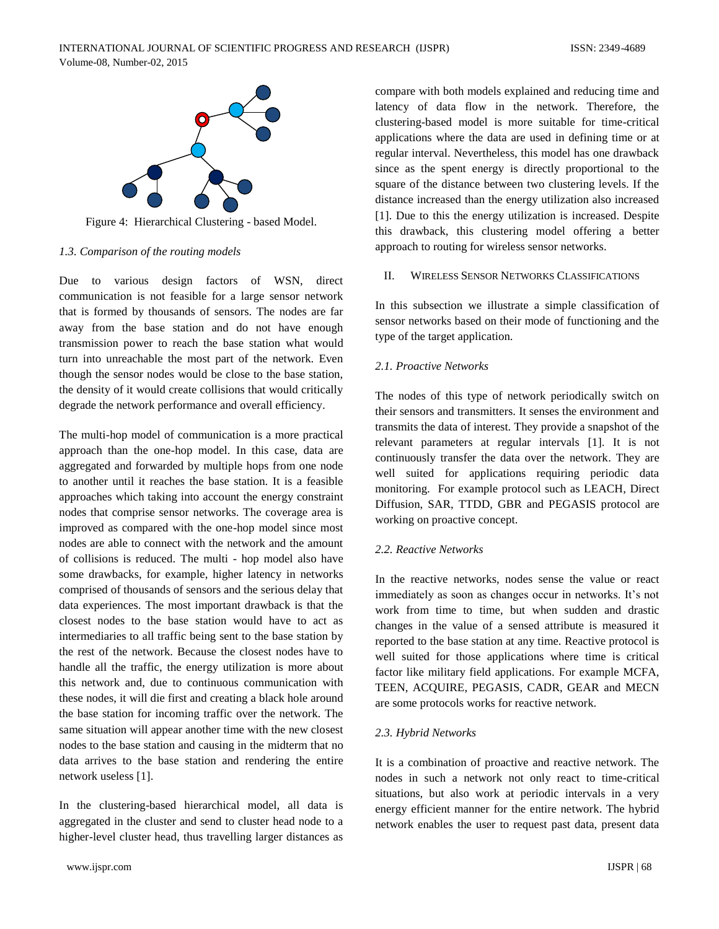

Figure 4: Hierarchical Clustering - based Model.

## *1.3. Comparison of the routing models*

Due to various design factors of WSN, direct communication is not feasible for a large sensor network that is formed by thousands of sensors. The nodes are far away from the base station and do not have enough transmission power to reach the base station what would turn into unreachable the most part of the network. Even though the sensor nodes would be close to the base station, the density of it would create collisions that would critically degrade the network performance and overall efficiency.

The multi-hop model of communication is a more practical approach than the one-hop model. In this case, data are aggregated and forwarded by multiple hops from one node to another until it reaches the base station. It is a feasible approaches which taking into account the energy constraint nodes that comprise sensor networks. The coverage area is improved as compared with the one-hop model since most nodes are able to connect with the network and the amount of collisions is reduced. The multi - hop model also have some drawbacks, for example, higher latency in networks comprised of thousands of sensors and the serious delay that data experiences. The most important drawback is that the closest nodes to the base station would have to act as intermediaries to all traffic being sent to the base station by the rest of the network. Because the closest nodes have to handle all the traffic, the energy utilization is more about this network and, due to continuous communication with these nodes, it will die first and creating a black hole around the base station for incoming traffic over the network. The same situation will appear another time with the new closest nodes to the base station and causing in the midterm that no data arrives to the base station and rendering the entire network useless [1].

In the clustering-based hierarchical model, all data is aggregated in the cluster and send to cluster head node to a higher-level cluster head, thus travelling larger distances as

compare with both models explained and reducing time and latency of data flow in the network. Therefore, the clustering-based model is more suitable for time-critical applications where the data are used in defining time or at regular interval. Nevertheless, this model has one drawback since as the spent energy is directly proportional to the square of the distance between two clustering levels. If the distance increased than the energy utilization also increased [1]. Due to this the energy utilization is increased. Despite this drawback, this clustering model offering a better approach to routing for wireless sensor networks.

## II. WIRELESS SENSOR NETWORKS CLASSIFICATIONS

In this subsection we illustrate a simple classification of sensor networks based on their mode of functioning and the type of the target application.

# *2.1. Proactive Networks*

The nodes of this type of network periodically switch on their sensors and transmitters. It senses the environment and transmits the data of interest. They provide a snapshot of the relevant parameters at regular intervals [1]. It is not continuously transfer the data over the network. They are well suited for applications requiring periodic data monitoring. For example protocol such as LEACH, Direct Diffusion, SAR, TTDD, GBR and PEGASIS protocol are working on proactive concept.

# *2.2. Reactive Networks*

In the reactive networks, nodes sense the value or react immediately as soon as changes occur in networks. It's not work from time to time, but when sudden and drastic changes in the value of a sensed attribute is measured it reported to the base station at any time. Reactive protocol is well suited for those applications where time is critical factor like military field applications. For example MCFA, TEEN, ACQUIRE, PEGASIS, CADR, GEAR and MECN are some protocols works for reactive network.

# *2.3. Hybrid Networks*

It is a combination of proactive and reactive network. The nodes in such a network not only react to time-critical situations, but also work at periodic intervals in a very energy efficient manner for the entire network. The hybrid network enables the user to request past data, present data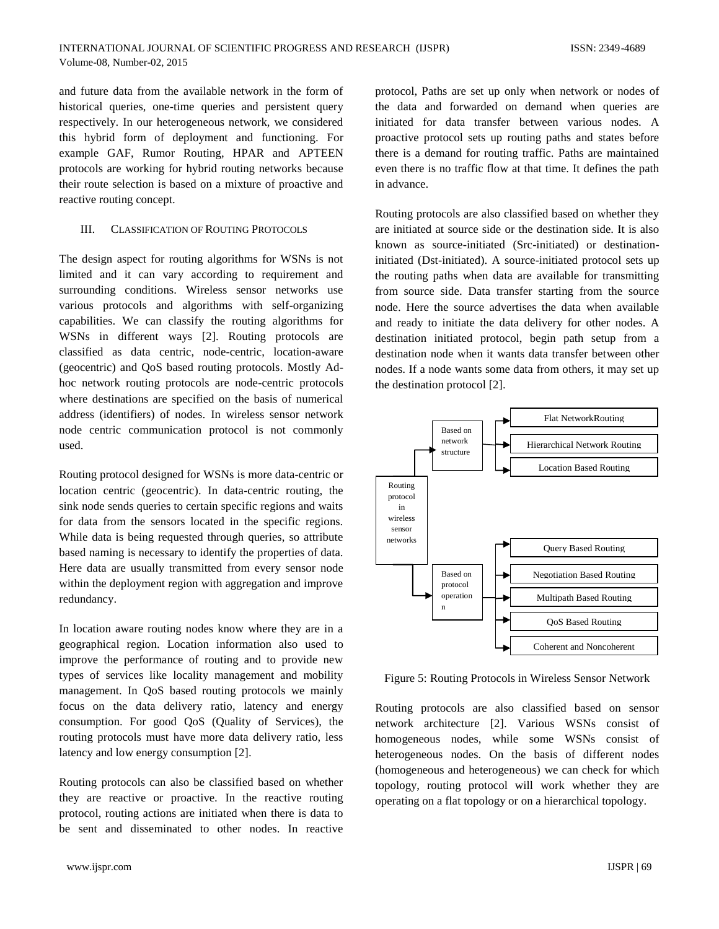and future data from the available network in the form of historical queries, one-time queries and persistent query respectively. In our heterogeneous network, we considered this hybrid form of deployment and functioning. For example GAF, Rumor Routing, HPAR and APTEEN protocols are working for hybrid routing networks because their route selection is based on a mixture of proactive and reactive routing concept.

#### III. CLASSIFICATION OF ROUTING PROTOCOLS

The design aspect for routing algorithms for WSNs is not limited and it can vary according to requirement and surrounding conditions. Wireless sensor networks use various protocols and algorithms with self-organizing capabilities. We can classify the routing algorithms for WSNs in different ways [2]. Routing protocols are classified as data centric, node-centric, location-aware (geocentric) and QoS based routing protocols. Mostly Adhoc network routing protocols are node-centric protocols where destinations are specified on the basis of numerical address (identifiers) of nodes. In wireless sensor network node centric communication protocol is not commonly used.

Routing protocol designed for WSNs is more data-centric or location centric (geocentric). In data-centric routing, the sink node sends queries to certain specific regions and waits for data from the sensors located in the specific regions. While data is being requested through queries, so attribute based naming is necessary to identify the properties of data. Here data are usually transmitted from every sensor node within the deployment region with aggregation and improve redundancy.

In location aware routing nodes know where they are in a geographical region. Location information also used to improve the performance of routing and to provide new types of services like locality management and mobility management. In QoS based routing protocols we mainly focus on the data delivery ratio, latency and energy consumption. For good QoS (Quality of Services), the routing protocols must have more data delivery ratio, less latency and low energy consumption [2].

Routing protocols can also be classified based on whether they are reactive or proactive. In the reactive routing protocol, routing actions are initiated when there is data to be sent and disseminated to other nodes. In reactive

protocol, Paths are set up only when network or nodes of the data and forwarded on demand when queries are initiated for data transfer between various nodes. A proactive protocol sets up routing paths and states before there is a demand for routing traffic. Paths are maintained even there is no traffic flow at that time. It defines the path in advance.

Routing protocols are also classified based on whether they are initiated at source side or the destination side. It is also known as source-initiated (Src-initiated) or destinationinitiated (Dst-initiated). A source-initiated protocol sets up the routing paths when data are available for transmitting from source side. Data transfer starting from the source node. Here the source advertises the data when available and ready to initiate the data delivery for other nodes. A destination initiated protocol, begin path setup from a destination node when it wants data transfer between other nodes. If a node wants some data from others, it may set up the destination protocol [2].



Figure 5: Routing Protocols in Wireless Sensor Network

Routing protocols are also classified based on sensor network architecture [2]. Various WSNs consist of homogeneous nodes, while some WSNs consist of heterogeneous nodes. On the basis of different nodes (homogeneous and heterogeneous) we can check for which topology, routing protocol will work whether they are operating on a flat topology or on a hierarchical topology.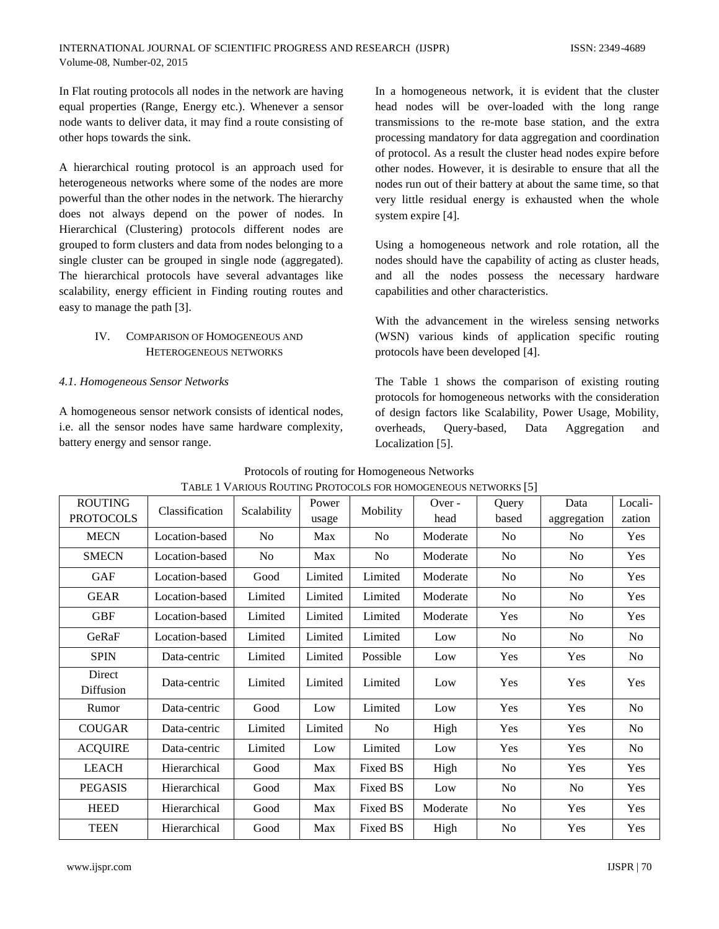In Flat routing protocols all nodes in the network are having equal properties (Range, Energy etc.). Whenever a sensor node wants to deliver data, it may find a route consisting of other hops towards the sink.

A hierarchical routing protocol is an approach used for heterogeneous networks where some of the nodes are more powerful than the other nodes in the network. The hierarchy does not always depend on the power of nodes. In Hierarchical (Clustering) protocols different nodes are grouped to form clusters and data from nodes belonging to a single cluster can be grouped in single node (aggregated). The hierarchical protocols have several advantages like scalability, energy efficient in Finding routing routes and easy to manage the path [3].

# IV. COMPARISON OF HOMOGENEOUS AND HETEROGENEOUS NETWORKS

# *4.1. Homogeneous Sensor Networks*

A homogeneous sensor network consists of identical nodes, i.e. all the sensor nodes have same hardware complexity, battery energy and sensor range.

In a homogeneous network, it is evident that the cluster head nodes will be over-loaded with the long range transmissions to the re-mote base station, and the extra processing mandatory for data aggregation and coordination of protocol. As a result the cluster head nodes expire before other nodes. However, it is desirable to ensure that all the nodes run out of their battery at about the same time, so that very little residual energy is exhausted when the whole system expire [4].

Using a homogeneous network and role rotation, all the nodes should have the capability of acting as cluster heads, and all the nodes possess the necessary hardware capabilities and other characteristics.

With the advancement in the wireless sensing networks (WSN) various kinds of application specific routing protocols have been developed [4].

The Table 1 shows the comparison of existing routing protocols for homogeneous networks with the consideration of design factors like Scalability, Power Usage, Mobility, overheads, Query-based, Data Aggregation and Localization [5].

| <b>ROUTING</b><br><b>PROTOCOLS</b> | Classification | there is a muoto not interested to the moment to contract in only $ \psi $<br>Scalability | Power<br>usage | Mobility       | Over -<br>head | Query<br>based | Data<br>aggregation | Locali-<br>zation |
|------------------------------------|----------------|-------------------------------------------------------------------------------------------|----------------|----------------|----------------|----------------|---------------------|-------------------|
| <b>MECN</b>                        | Location-based | N <sub>o</sub>                                                                            | Max            | N <sub>0</sub> | Moderate       | N <sub>0</sub> | N <sub>0</sub>      | <b>Yes</b>        |
| <b>SMECN</b>                       | Location-based | No.                                                                                       | Max            | N <sub>0</sub> | Moderate       | N <sub>0</sub> | N <sub>0</sub>      | <b>Yes</b>        |
| <b>GAF</b>                         | Location-based | Good                                                                                      | Limited        | Limited        | Moderate       | N <sub>o</sub> | N <sub>0</sub>      | <b>Yes</b>        |
| <b>GEAR</b>                        | Location-based | Limited                                                                                   | Limited        | Limited        | Moderate       | N <sub>o</sub> | N <sub>0</sub>      | Yes               |
| <b>GBF</b>                         | Location-based | Limited                                                                                   | Limited        | Limited        | Moderate       | Yes            | No                  | Yes               |
| GeRaF                              | Location-based | Limited                                                                                   | Limited        | Limited        | Low            | N <sub>o</sub> | N <sub>0</sub>      | No                |
| <b>SPIN</b>                        | Data-centric   | Limited                                                                                   | Limited        | Possible       | Low            | Yes            | Yes                 | No                |
| Direct<br>Diffusion                | Data-centric   | Limited                                                                                   | Limited        | Limited        | Low            | Yes            | Yes                 | Yes               |
| Rumor                              | Data-centric   | Good                                                                                      | Low            | Limited        | Low            | Yes            | Yes                 | No                |
| <b>COUGAR</b>                      | Data-centric   | Limited                                                                                   | Limited        | N <sub>o</sub> | High           | Yes            | Yes                 | No                |
| <b>ACQUIRE</b>                     | Data-centric   | Limited                                                                                   | Low            | Limited        | Low            | Yes            | Yes                 | No                |
| <b>LEACH</b>                       | Hierarchical   | Good                                                                                      | Max            | Fixed BS       | High           | No             | Yes                 | Yes               |
| <b>PEGASIS</b>                     | Hierarchical   | Good                                                                                      | Max            | Fixed BS       | Low            | N <sub>o</sub> | No                  | Yes               |
| <b>HEED</b>                        | Hierarchical   | Good                                                                                      | Max            | Fixed BS       | Moderate       | No             | Yes                 | Yes               |
| <b>TEEN</b>                        | Hierarchical   | Good                                                                                      | Max            | Fixed BS       | High           | No             | Yes                 | Yes               |

Protocols of routing for Homogeneous Networks TABLE 1 VARIOUS ROUTING PROTOCOLS FOR HOMOGENEOUS NETWORKS [5]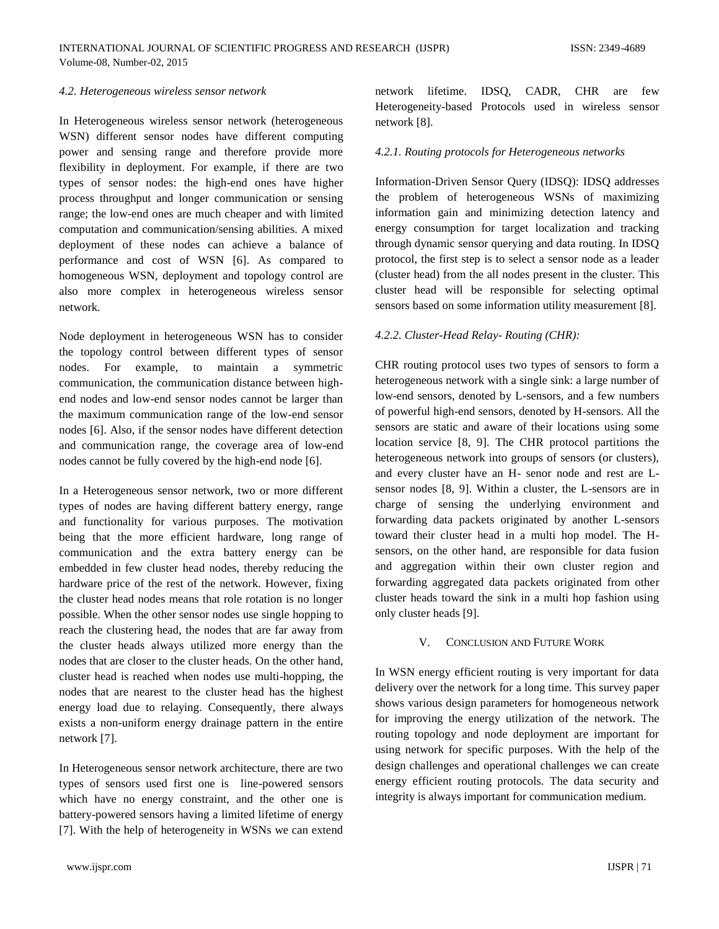#### *4.2. Heterogeneous wireless sensor network*

In Heterogeneous wireless sensor network (heterogeneous WSN) different sensor nodes have different computing power and sensing range and therefore provide more flexibility in deployment. For example, if there are two types of sensor nodes: the high-end ones have higher process throughput and longer communication or sensing range; the low-end ones are much cheaper and with limited computation and communication/sensing abilities. A mixed deployment of these nodes can achieve a balance of performance and cost of WSN [6]. As compared to homogeneous WSN, deployment and topology control are also more complex in heterogeneous wireless sensor network.

Node deployment in heterogeneous WSN has to consider the topology control between different types of sensor nodes. For example, to maintain a symmetric communication, the communication distance between highend nodes and low-end sensor nodes cannot be larger than the maximum communication range of the low-end sensor nodes [6]. Also, if the sensor nodes have different detection and communication range, the coverage area of low-end nodes cannot be fully covered by the high-end node [6].

In a Heterogeneous sensor network, two or more different types of nodes are having different battery energy, range and functionality for various purposes. The motivation being that the more efficient hardware, long range of communication and the extra battery energy can be embedded in few cluster head nodes, thereby reducing the hardware price of the rest of the network. However, fixing the cluster head nodes means that role rotation is no longer possible. When the other sensor nodes use single hopping to reach the clustering head, the nodes that are far away from the cluster heads always utilized more energy than the nodes that are closer to the cluster heads. On the other hand, cluster head is reached when nodes use multi-hopping, the nodes that are nearest to the cluster head has the highest energy load due to relaying. Consequently, there always exists a non-uniform energy drainage pattern in the entire network [7].

In Heterogeneous sensor network architecture, there are two types of sensors used first one is line-powered sensors which have no energy constraint, and the other one is battery-powered sensors having a limited lifetime of energy [7]. With the help of heterogeneity in WSNs we can extend

www.ijspr.com IJSPR | 71

network lifetime. IDSQ, CADR, CHR are few Heterogeneity-based Protocols used in wireless sensor network [8].

#### *4.2.1. Routing protocols for Heterogeneous networks*

Information-Driven Sensor Query (IDSQ): IDSQ addresses the problem of heterogeneous WSNs of maximizing information gain and minimizing detection latency and energy consumption for target localization and tracking through dynamic sensor querying and data routing. In IDSQ protocol, the first step is to select a sensor node as a leader (cluster head) from the all nodes present in the cluster. This cluster head will be responsible for selecting optimal sensors based on some information utility measurement [8].

## *4.2.2. Cluster-Head Relay- Routing (CHR):*

CHR routing protocol uses two types of sensors to form a heterogeneous network with a single sink: a large number of low-end sensors, denoted by L-sensors, and a few numbers of powerful high-end sensors, denoted by H-sensors. All the sensors are static and aware of their locations using some location service [8, 9]. The CHR protocol partitions the heterogeneous network into groups of sensors (or clusters), and every cluster have an H- senor node and rest are Lsensor nodes [8, 9]. Within a cluster, the L-sensors are in charge of sensing the underlying environment and forwarding data packets originated by another L-sensors toward their cluster head in a multi hop model. The Hsensors, on the other hand, are responsible for data fusion and aggregation within their own cluster region and forwarding aggregated data packets originated from other cluster heads toward the sink in a multi hop fashion using only cluster heads [9].

## V. CONCLUSION AND FUTURE WORK

In WSN energy efficient routing is very important for data delivery over the network for a long time. This survey paper shows various design parameters for homogeneous network for improving the energy utilization of the network. The routing topology and node deployment are important for using network for specific purposes. With the help of the design challenges and operational challenges we can create energy efficient routing protocols. The data security and integrity is always important for communication medium.